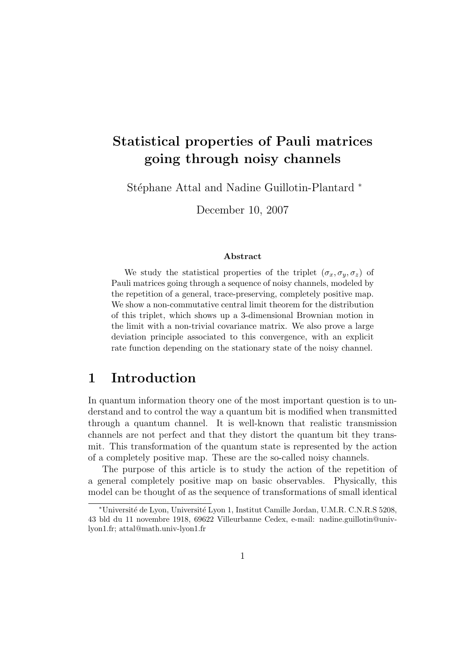# Statistical properties of Pauli matrices going through noisy channels

Stéphane Attal and Nadine Guillotin-Plantard <sup>∗</sup>

December 10, 2007

### Abstract

We study the statistical properties of the triplet  $(\sigma_x, \sigma_y, \sigma_z)$  of Pauli matrices going through a sequence of noisy channels, modeled by the repetition of a general, trace-preserving, completely positive map. We show a non-commutative central limit theorem for the distribution of this triplet, which shows up a 3-dimensional Brownian motion in the limit with a non-trivial covariance matrix. We also prove a large deviation principle associated to this convergence, with an explicit rate function depending on the stationary state of the noisy channel.

# 1 Introduction

In quantum information theory one of the most important question is to understand and to control the way a quantum bit is modified when transmitted through a quantum channel. It is well-known that realistic transmission channels are not perfect and that they distort the quantum bit they transmit. This transformation of the quantum state is represented by the action of a completely positive map. These are the so-called noisy channels.

The purpose of this article is to study the action of the repetition of a general completely positive map on basic observables. Physically, this model can be thought of as the sequence of transformations of small identical

<sup>∗</sup>Universit´e de Lyon, Universit´e Lyon 1, Institut Camille Jordan, U.M.R. C.N.R.S 5208, 43 bld du 11 novembre 1918, 69622 Villeurbanne Cedex, e-mail: nadine.guillotin@univlyon1.fr; attal@math.univ-lyon1.fr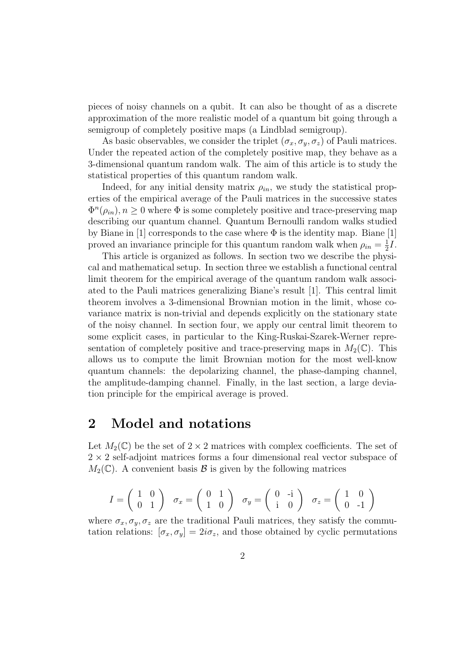pieces of noisy channels on a qubit. It can also be thought of as a discrete approximation of the more realistic model of a quantum bit going through a semigroup of completely positive maps (a Lindblad semigroup).

As basic observables, we consider the triplet  $(\sigma_x, \sigma_y, \sigma_z)$  of Pauli matrices. Under the repeated action of the completely positive map, they behave as a 3-dimensional quantum random walk. The aim of this article is to study the statistical properties of this quantum random walk.

Indeed, for any initial density matrix  $\rho_{in}$ , we study the statistical properties of the empirical average of the Pauli matrices in the successive states  $\Phi^{n}(\rho_{in}), n \geq 0$  where  $\Phi$  is some completely positive and trace-preserving map describing our quantum channel. Quantum Bernoulli random walks studied by Biane in [1] corresponds to the case where  $\Phi$  is the identity map. Biane [1] proved an invariance principle for this quantum random walk when  $\rho_{in} = \frac{1}{2}$  $rac{1}{2}I$ .

This article is organized as follows. In section two we describe the physical and mathematical setup. In section three we establish a functional central limit theorem for the empirical average of the quantum random walk associated to the Pauli matrices generalizing Biane's result [1]. This central limit theorem involves a 3-dimensional Brownian motion in the limit, whose covariance matrix is non-trivial and depends explicitly on the stationary state of the noisy channel. In section four, we apply our central limit theorem to some explicit cases, in particular to the King-Ruskai-Szarek-Werner representation of completely positive and trace-preserving maps in  $M_2(\mathbb{C})$ . This allows us to compute the limit Brownian motion for the most well-know quantum channels: the depolarizing channel, the phase-damping channel, the amplitude-damping channel. Finally, in the last section, a large deviation principle for the empirical average is proved.

## 2 Model and notations

Let  $M_2(\mathbb{C})$  be the set of  $2 \times 2$  matrices with complex coefficients. The set of  $2 \times 2$  self-adjoint matrices forms a four dimensional real vector subspace of  $M_2(\mathbb{C})$ . A convenient basis  $\mathcal B$  is given by the following matrices

$$
I = \begin{pmatrix} 1 & 0 \\ 0 & 1 \end{pmatrix} \quad \sigma_x = \begin{pmatrix} 0 & 1 \\ 1 & 0 \end{pmatrix} \quad \sigma_y = \begin{pmatrix} 0 & -i \\ i & 0 \end{pmatrix} \quad \sigma_z = \begin{pmatrix} 1 & 0 \\ 0 & -1 \end{pmatrix}
$$

where  $\sigma_x, \sigma_y, \sigma_z$  are the traditional Pauli matrices, they satisfy the commutation relations:  $[\sigma_x, \sigma_y] = 2i\sigma_z$ , and those obtained by cyclic permutations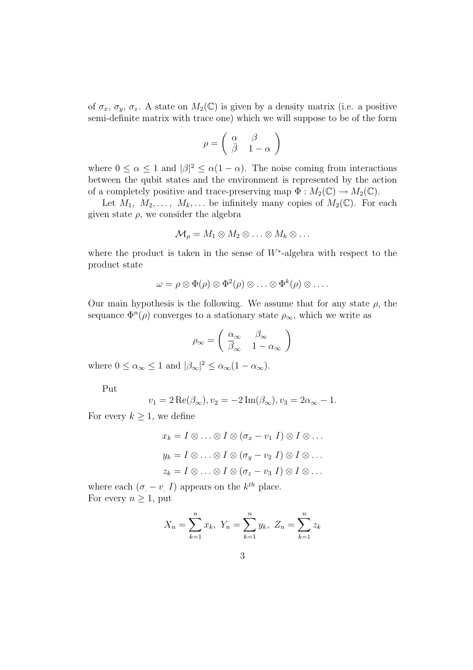of  $\sigma_x$ ,  $\sigma_y$ ,  $\sigma_z$ . A state on  $M_2(\mathbb{C})$  is given by a density matrix (i.e. a positive semi-definite matrix with trace one) which we will suppose to be of the form

$$
\rho = \left( \begin{array}{cc} \alpha & \beta \\ \bar{\beta} & 1-\alpha \end{array} \right)
$$

where  $0 \le \alpha \le 1$  and  $|\beta|^2 \le \alpha(1-\alpha)$ . The noise coming from interactions between the qubit states and the environment is represented by the action of a completely positive and trace-preserving map  $\Phi : M_2(\mathbb{C}) \to M_2(\mathbb{C})$ .

Let  $M_1, M_2, \ldots, M_k, \ldots$  be infinitely many copies of  $M_2(\mathbb{C})$ . For each given state  $\rho$ , we consider the algebra

$$
\mathcal{M}_{\rho}=M_1\otimes M_2\otimes\ldots\otimes M_k\otimes\ldots
$$

where the product is taken in the sense of  $W^*$ -algebra with respect to the product state

$$
\omega = \rho \otimes \Phi(\rho) \otimes \Phi^2(\rho) \otimes \ldots \otimes \Phi^k(\rho) \otimes \ldots.
$$

Our main hypothesis is the following. We assume that for any state  $\rho$ , the sequance  $\Phi^{n}(\rho)$  converges to a stationary state  $\rho_{\infty}$ , which we write as

$$
\rho_\infty = \left( \begin{array}{cc} \alpha_\infty & \beta_\infty \\ \overline{\beta}_\infty & 1-\alpha_\infty \end{array} \right)
$$

where  $0 \le \alpha_{\infty} \le 1$  and  $|\beta_{\infty}|^2 \le \alpha_{\infty}(1 - \alpha_{\infty})$ .

Put

$$
v_1 = 2 \operatorname{Re}(\beta_{\infty}), v_2 = -2 \operatorname{Im}(\beta_{\infty}), v_3 = 2\alpha_{\infty} - 1.
$$

For every  $k \geq 1$ , we define

$$
x_k = I \otimes \ldots \otimes I \otimes (\sigma_x - v_1 \ I) \otimes I \otimes \ldots
$$

$$
y_k = I \otimes \ldots \otimes I \otimes (\sigma_y - v_2 \ I) \otimes I \otimes \ldots
$$

$$
z_k = I \otimes \ldots \otimes I \otimes (\sigma_z - v_3 \ I) \otimes I \otimes \ldots
$$

where each  $(\sigma_{\cdot} - v_{\cdot} I)$  appears on the  $k^{th}$  place. For every  $n \geq 1$ , put

$$
X_n = \sum_{k=1}^n x_k
$$
,  $Y_n = \sum_{k=1}^n y_k$ ,  $Z_n = \sum_{k=1}^n z_k$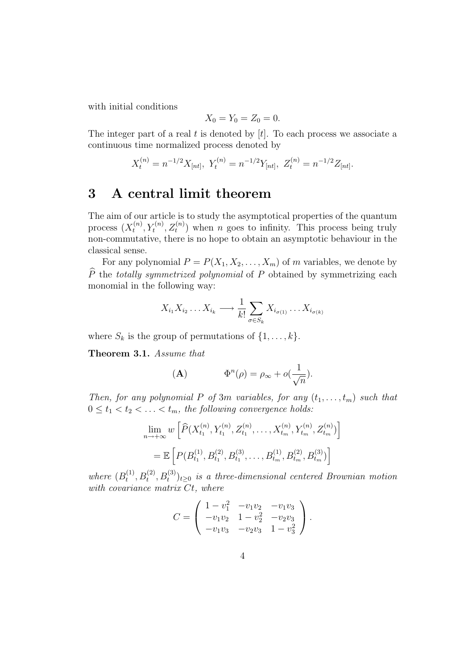with initial conditions

$$
X_0 = Y_0 = Z_0 = 0.
$$

The integer part of a real t is denoted by  $[t]$ . To each process we associate a continuous time normalized process denoted by

$$
X_t^{(n)} = n^{-1/2} X_{[nt]}, \ Y_t^{(n)} = n^{-1/2} Y_{[nt]}, \ Z_t^{(n)} = n^{-1/2} Z_{[nt]}.
$$

# 3 A central limit theorem

The aim of our article is to study the asymptotical properties of the quantum process  $(X_t^{(n)}$  $(t<sup>n</sup>, Y<sub>t</sub><sup>(n)</sup>, Z<sub>t</sub><sup>(n)</sup>)$  when *n* goes to infinity. This process being truly non-commutative, there is no hope to obtain an asymptotic behaviour in the classical sense.

For any polynomial  $P = P(X_1, X_2, \ldots, X_m)$  of m variables, we denote by  $\hat{P}$  the totally symmetrized polynomial of P obtained by symmetrizing each monomial in the following way:

$$
X_{i_1} X_{i_2} \dots X_{i_k} \longrightarrow \frac{1}{k!} \sum_{\sigma \in S_k} X_{i_{\sigma(1)}} \dots X_{i_{\sigma(k)}}
$$

where  $S_k$  is the group of permutations of  $\{1, \ldots, k\}$ .

Theorem 3.1. Assume that

$$
\Phi^n(\rho) = \rho_\infty + o(\frac{1}{\sqrt{n}}).
$$

Then, for any polynomial P of 3m variables, for any  $(t_1, \ldots, t_m)$  such that  $0 \leq t_1 < t_2 < \ldots < t_m$ , the following convergence holds:

$$
\lim_{n \to +\infty} w \left[ \widehat{P}(X_{t_1}^{(n)}, Y_{t_1}^{(n)}, Z_{t_1}^{(n)}, \dots, X_{t_m}^{(n)}, Y_{t_m}^{(n)}, Z_{t_m}^{(n)}) \right]
$$
\n
$$
= \mathbb{E} \left[ P(B_{t_1}^{(1)}, B_{t_1}^{(2)}, B_{t_1}^{(3)}, \dots, B_{t_m}^{(1)}, B_{t_m}^{(2)}, B_{t_m}^{(3)}) \right]
$$

where  $(B_t^{(1)}$  $(t_1^{(1)}, B_t^{(2)}, B_t^{(3)})_{t\geq 0}$  is a three-dimensional centered Brownian motion with covariance matrix  $Ct$ , where

$$
C = \begin{pmatrix} 1 - v_1^2 & -v_1v_2 & -v_1v_3 \\ -v_1v_2 & 1 - v_2^2 & -v_2v_3 \\ -v_1v_3 & -v_2v_3 & 1 - v_3^2 \end{pmatrix}.
$$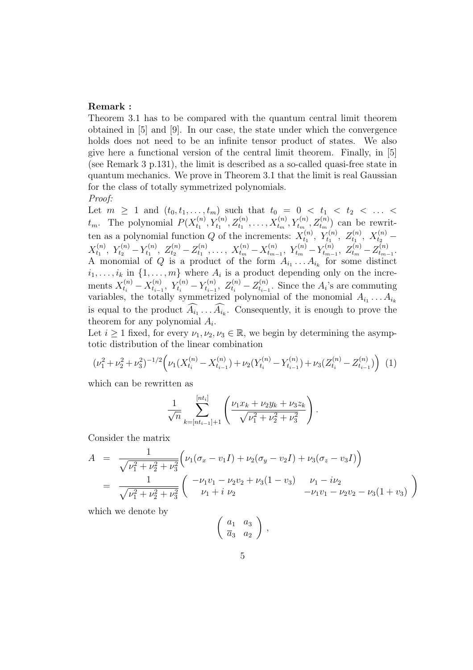### Remark :

Theorem 3.1 has to be compared with the quantum central limit theorem obtained in [5] and [9]. In our case, the state under which the convergence holds does not need to be an infinite tensor product of states. We also give here a functional version of the central limit theorem. Finally, in [5] (see Remark 3 p.131), the limit is described as a so-called quasi-free state in quantum mechanics. We prove in Theorem 3.1 that the limit is real Gaussian for the class of totally symmetrized polynomials.

Proof:

Let  $m \geq 1$  and  $(t_0, t_1, \ldots, t_m)$  such that  $t_0 = 0 < t_1 < t_2 < \ldots <$  $t_m$ . The polynomial  $P(X_{t_1}^{(n)})$  $X_{t_1}^{(n)}, Y_{t_1}^{(n)}, Z_{t_1}^{(n)}, \ldots, X_{t_m}^{(n)}, Y_{t_m}^{(n)}, Z_{t_m}^{(n)})$  can be rewritten as a polynomial function Q of the increments:  $X_{t_1}^{(n)}$  $X_{t_1}^{(n)},\ Y_{t_1}^{(n)},\ Z_{t_1}^{(n)},\ X_{t_2}^{(n)}$  –  $X_{t_1}^{(n)}$  $Y_{t_1}^{(n)}, Y_{t_2}^{(n)} - Y_{t_1}^{(n)}$  $Z_{t_1}^{(n)},\;Z_{t_2}^{(n)}\!-\!Z_{t_1}^{(n)}$  $X_{t_1}^{(n)}, \ldots, X_{t_m}^{(n)} - X_{t_{m-1}}^{(n)}$  $t_{m-1}^{(n)}, Y_{t_m}^{(n)} - Y_{t_{m-1}}^{(n)}$  $z_{t_{m-1}}^{(n)},\;Z_{t_m}^{(n)}\!-\!Z_{t_{m-1}}^{(n)}$  $t_{m-1}$ . A monomial of Q is a product of the form  $A_{i_1} \ldots A_{i_k}$  for some distinct  $i_1, \ldots, i_k$  in  $\{1, \ldots, m\}$  where  $A_i$  is a product depending only on the increments  $X_{t_i}^{(n)} - X_{t_{i-1}}^{(n)}$  $Y_{t_{i-1}}^{(n)}, Y_{t_i}^{(n)} - Y_{t_{i-1}}^{(n)}$  $z_{t_{i-1}}^{(n)},\ Z_{t_i}^{(n)} - Z_{t_{i-1}}^{(n)}$  $t_{i-1}^{(n)}$ . Since the  $A_i$ 's are commuting variables, the totally symmetrized polynomial of the monomial  $A_{i_1} \ldots A_{i_k}$ is equal to the product  $A_{i_1} \ldots A_{i_k}$ . Consequently, it is enough to prove the theorem for any polynomial  $A_i$ .

Let  $i \geq 1$  fixed, for every  $\nu_1, \nu_2, \nu_3 \in \mathbb{R}$ , we begin by determining the asymptotic distribution of the linear combination

$$
(\nu_1^2 + \nu_2^2 + \nu_3^2)^{-1/2} \Big( \nu_1 (X_{t_i}^{(n)} - X_{t_{i-1}}^{(n)}) + \nu_2 (Y_{t_i}^{(n)} - Y_{t_{i-1}}^{(n)}) + \nu_3 (Z_{t_i}^{(n)} - Z_{t_{i-1}}^{(n)}) \Big) \tag{1}
$$

which can be rewritten as

$$
\frac{1}{\sqrt{n}} \sum_{k=[nt_{i-1}]+1}^{[nt_i]} \left( \frac{\nu_1 x_k + \nu_2 y_k + \nu_3 z_k}{\sqrt{\nu_1^2 + \nu_2^2 + \nu_3^2}} \right).
$$

Consider the matrix

$$
A = \frac{1}{\sqrt{\nu_1^2 + \nu_2^2 + \nu_3^2}} \left( \nu_1 (\sigma_x - v_1 I) + \nu_2 (\sigma_y - v_2 I) + \nu_3 (\sigma_z - v_3 I) \right)
$$
  
= 
$$
\frac{1}{\sqrt{\nu_1^2 + \nu_2^2 + \nu_3^2}} \left( \begin{array}{cc} -\nu_1 v_1 - \nu_2 v_2 + \nu_3 (1 - v_3) & \nu_1 - i \nu_2 \\ \nu_1 + i & \nu_2 & -\nu_1 v_1 - \nu_2 v_2 - \nu_3 (1 + v_3) \end{array} \right)
$$

which we denote by

$$
\left(\begin{array}{cc}a_1&a_3\\ \overline{a}_3&a_2\end{array}\right)\,,
$$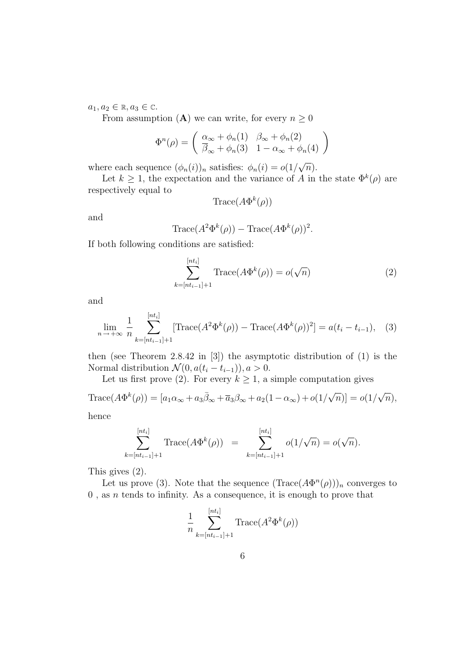$a_1, a_2 \in \mathbb{R}, a_3 \in \mathbb{C}.$ 

From assumption (A) we can write, for every  $n \geq 0$ 

$$
\Phi^{n}(\rho) = \begin{pmatrix} \frac{\alpha_{\infty} + \phi_{n}(1)}{\beta_{\infty} + \phi_{n}(3)} & \beta_{\infty} + \phi_{n}(2) \\ \frac{\beta_{\infty} + \phi_{n}(3)}{3} & 1 - \alpha_{\infty} + \phi_{n}(4) \end{pmatrix}
$$

where each sequence  $(\phi_n(i))_n$  satisfies:  $\phi_n(i) = o(1/\sqrt{n}).$ 

Let  $k \geq 1$ , the expectation and the variance of A in the state  $\Phi^k(\rho)$  are respectively equal to

$$
\text{Trace}(A\Phi^k(\rho))
$$

and

$$
\text{Trace}(A^2 \Phi^k(\rho)) - \text{Trace}(A \Phi^k(\rho))^2.
$$

If both following conditions are satisfied:

$$
\sum_{k=[nt_{i-1}]+1}^{[nt_i]} \text{Trace}(A\Phi^k(\rho)) = o(\sqrt{n})\tag{2}
$$

and

$$
\lim_{n \to +\infty} \frac{1}{n} \sum_{k=[nt_{i-1}]+1}^{[nt_i]} [\text{Trace}(A^2 \Phi^k(\rho)) - \text{Trace}(A \Phi^k(\rho))^2] = a(t_i - t_{i-1}), \quad (3)
$$

then (see Theorem 2.8.42 in [3]) the asymptotic distribution of (1) is the Normal distribution  $\mathcal{N}(0, a(t_i - t_{i-1})), a > 0.$ 

Let us first prove (2). For every  $k \geq 1$ , a simple computation gives

Trace $(A\Phi^k(\rho)) = [a_1\alpha_\infty + a_3\overline{\beta}_\infty + \overline{a}_3\beta_\infty + a_2(1-\alpha_\infty) + o(1/\sqrt{n})] = o(1/\sqrt{n}),$ 

hence

$$
\sum_{k=[nt_{i-1}]+1}^{[nt_i]} \text{Trace}(A\Phi^k(\rho)) = \sum_{k=[nt_{i-1}]+1}^{[nt_i]} o(1/\sqrt{n}) = o(\sqrt{n}).
$$

This gives (2).

Let us prove (3). Note that the sequence  $(Trace(A\Phi^{n}(\rho)))_n$  converges to  $0$ , as n tends to infinity. As a consequence, it is enough to prove that

$$
\frac{1}{n} \sum_{k=[nt_{i-1}]+1}^{[nt_i]} \text{Trace}(A^2 \Phi^k(\rho))
$$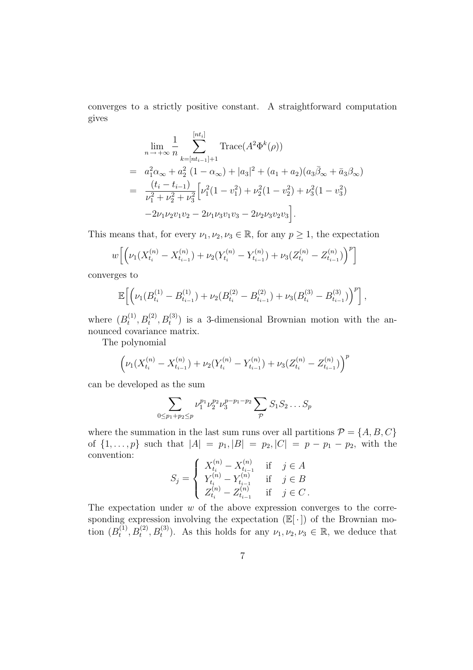converges to a strictly positive constant. A straightforward computation gives

$$
\lim_{n \to +\infty} \frac{1}{n} \sum_{k=[nt_{i-1}]+1}^{[nt_i]} \text{Trace}(A^2 \Phi^k(\rho))
$$
\n
$$
= a_1^2 \alpha_\infty + a_2^2 (1 - \alpha_\infty) + |a_3|^2 + (a_1 + a_2)(a_3 \bar{\beta}_\infty + \bar{a}_3 \beta_\infty)
$$
\n
$$
= \frac{(t_i - t_{i-1})}{\nu_1^2 + \nu_2^2 + \nu_3^2} \left[ \nu_1^2 (1 - \nu_1^2) + \nu_2^2 (1 - \nu_2^2) + \nu_3^2 (1 - \nu_3^2) -2\nu_1 \nu_2 \nu_1 \nu_2 - 2\nu_1 \nu_3 \nu_1 \nu_3 - 2\nu_2 \nu_3 \nu_2 \nu_3 \right].
$$

This means that, for every  $\nu_1, \nu_2, \nu_3 \in \mathbb{R}$ , for any  $p \geq 1$ , the expectation

$$
w\Big[\Big(\nu_1(X_{t_i}^{(n)} - X_{t_{i-1}}^{(n)}) + \nu_2(Y_{t_i}^{(n)} - Y_{t_{i-1}}^{(n)}) + \nu_3(Z_{t_i}^{(n)} - Z_{t_{i-1}}^{(n)})\Big)^p\Big]
$$

converges to

$$
\mathbb{E}\Big[\Big(\nu_1(B^{(1)}_{t_i}-B^{(1)}_{t_{i-1}})+\nu_2(B^{(2)}_{t_i}-B^{(2)}_{t_{i-1}})+\nu_3(B^{(3)}_{t_i}-B^{(3)}_{t_{i-1}})\Big)^p\Big],
$$

where  $(B_t^{(1)}$  $(t_1^{(1)}, B_t^{(2)}, B_t^{(3)})$  is a 3-dimensional Brownian motion with the announced covariance matrix.

The polynomial

$$
\left(\nu_1(X_{t_i}^{(n)} - X_{t_{i-1}}^{(n)}) + \nu_2(Y_{t_i}^{(n)} - Y_{t_{i-1}}^{(n)}) + \nu_3(Z_{t_i}^{(n)} - Z_{t_{i-1}}^{(n)})\right)^p
$$

can be developed as the sum

$$
\sum_{0 \le p_1 + p_2 \le p} \nu_1^{p_1} \nu_2^{p_2} \nu_3^{p-p_1-p_2} \sum_{p} S_1 S_2 \dots S_p
$$

where the summation in the last sum runs over all partitions  $\mathcal{P} = \{A, B, C\}$ of  $\{1, \ldots, p\}$  such that  $|A| = p_1, |B| = p_2, |C| = p - p_1 - p_2$ , with the convention:

$$
S_j = \begin{cases} X_{t_i}^{(n)} - X_{t_{i-1}}^{(n)} & \text{if } j \in A \\ Y_{t_i}^{(n)} - Y_{t_{i-1}}^{(n)} & \text{if } j \in B \\ Z_{t_i}^{(n)} - Z_{t_{i-1}}^{(n)} & \text{if } j \in C \,. \end{cases}
$$

The expectation under  $w$  of the above expression converges to the corresponding expression involving the expectation  $(\mathbb{E}[\cdot])$  of the Brownian motion  $(B_t^{(1)}$  $(t_1^{(1)}, B_t^{(2)}, B_t^{(3)})$ . As this holds for any  $\nu_1, \nu_2, \nu_3 \in \mathbb{R}$ , we deduce that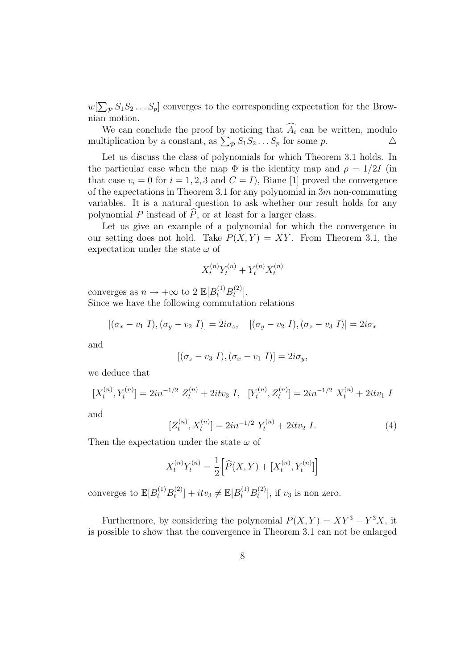$w[\sum_{\mathcal{P}} S_1 S_2 \dots S_p]$  converges to the corresponding expectation for the Brownian motion.

We can conclude the proof by noticing that  $\widehat{A}_i$  can be written, modulo litiplication by a constant, as  $\sum_{\mathcal{D}} S_1 S_2 \dots S_n$  for some p. multiplication by a constant, as  $\sum_{\mathcal{P}} S_1 S_2 \dots S_p$  for some  $p$ .  $\Delta$ 

Let us discuss the class of polynomials for which Theorem 3.1 holds. In the particular case when the map  $\Phi$  is the identity map and  $\rho = 1/2I$  (in that case  $v_i = 0$  for  $i = 1, 2, 3$  and  $C = I$ , Biane [1] proved the convergence of the expectations in Theorem 3.1 for any polynomial in  $3m$  non-commuting variables. It is a natural question to ask whether our result holds for any polynomial P instead of  $\widehat{P}$ , or at least for a larger class.

Let us give an example of a polynomial for which the convergence in our setting does not hold. Take  $P(X, Y) = XY$ . From Theorem 3.1, the expectation under the state  $\omega$  of

$$
X_t^{(n)} Y_t^{(n)} + Y_t^{(n)} X_t^{(n)}
$$

converges as  $n \to +\infty$  to  $2 \mathbb{E}[B_t^{(1)}B_t^{(2)}]$  $\binom{2}{t}$ .

Since we have the following commutation relations

$$
[(\sigma_x - v_1 I), (\sigma_y - v_2 I)] = 2i\sigma_z, \quad [(\sigma_y - v_2 I), (\sigma_z - v_3 I)] = 2i\sigma_x
$$

and

$$
[(\sigma_z - v_3 I), (\sigma_x - v_1 I)] = 2i\sigma_y,
$$

we deduce that

$$
[X_t^{(n)}, Y_t^{(n)}] = 2in^{-1/2} Z_t^{(n)} + 2itv_3 I, \quad [Y_t^{(n)}, Z_t^{(n)}] = 2in^{-1/2} X_t^{(n)} + 2itv_1 I
$$

and

$$
[Z_t^{(n)}, X_t^{(n)}] = 2in^{-1/2} Y_t^{(n)} + 2itv_2 I.
$$
 (4)

Then the expectation under the state  $\omega$  of

$$
X_t^{(n)} Y_t^{(n)} = \frac{1}{2} \Big[ \widehat{P}(X, Y) + [X_t^{(n)}, Y_t^{(n)}] \Big]
$$

converges to  $\mathbb{E}[B_t^{(1)}B_t^{(2)}]$  $t_t^{(2)}$ ] + it $v_3 \neq \mathbb{E}[B_t^{(1)}B_t^{(2)}]$  $\left[\begin{matrix} 1 \end{matrix}\right]$ , if  $v_3$  is non zero.

Furthermore, by considering the polynomial  $P(X,Y) = XY^3 + Y^3X$ , it is possible to show that the convergence in Theorem 3.1 can not be enlarged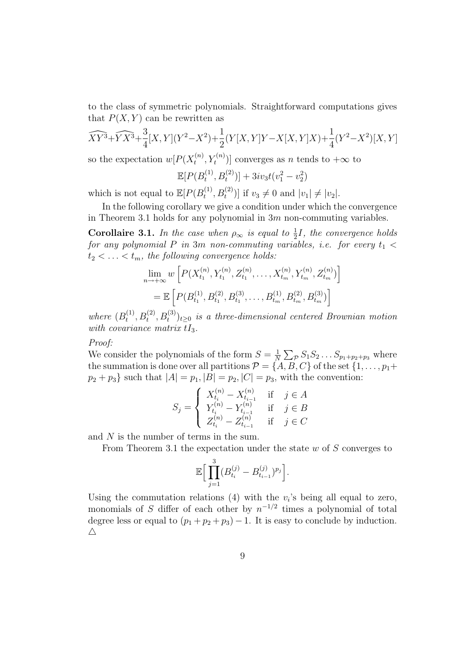to the class of symmetric polynomials. Straightforward computations gives that  $P(X, Y)$  can be rewritten as

$$
\widehat{XY^3} + \widehat{YX^3} + \frac{3}{4}[X,Y](Y^2 - X^2) + \frac{1}{2}(Y[X,Y]Y - X[X,Y]X) + \frac{1}{4}(Y^2 - X^2)[X,Y]
$$

so the expectation  $w[P(X_t^{(n)})]$  $[t_n^{(n)}, Y_t^{(n)})]$  converges as *n* tends to  $+\infty$  to

$$
\mathbb{E}[P(B_t^{(1)}, B_t^{(2)})] + 3iv_3t(v_1^2 - v_2^2)
$$

which is not equal to  $\mathbb{E}[P(B_t^{(1)})]$  $[t_1^{(1)}, B_t^{(2)}]$  if  $v_3 \neq 0$  and  $|v_1| \neq |v_2|$ .

In the following corollary we give a condition under which the convergence in Theorem 3.1 holds for any polynomial in  $3m$  non-commuting variables.

**Corollaire 3.1.** In the case when  $\rho_{\infty}$  is equal to  $\frac{1}{2}I$ , the convergence holds for any polynomial P in 3m non-commuting variables, i.e. for every  $t_1$  <  $t_2 < \ldots < t_m$ , the following convergence holds:

$$
\lim_{n \to +\infty} w \left[ P(X_{t_1}^{(n)}, Y_{t_1}^{(n)}, Z_{t_1}^{(n)}, \dots, X_{t_m}^{(n)}, Y_{t_m}^{(n)}, Z_{t_m}^{(n)}) \right]
$$
\n
$$
= \mathbb{E} \left[ P(B_{t_1}^{(1)}, B_{t_1}^{(2)}, B_{t_1}^{(3)}, \dots, B_{t_m}^{(1)}, B_{t_m}^{(2)}, B_{t_m}^{(3)}) \right]
$$

where  $(B_t^{(1)}$  $t^{(1)}, B_t^{(2)}, B_t^{(3)}$ <sub>t</sub> $\geq 0$  is a three-dimensional centered Brownian motion with covariance matrix  $tI_3$ .

Proof:

We consider the polynomials of the form  $S = \frac{1}{N}$  $\frac{1}{N} \sum_{\mathcal{P}} S_1 S_2 \dots S_{p_1+p_2+p_3}$  where the summation is done over all partitions  $\mathcal{P} = \{A, B, C\}$  of the set  $\{1, \ldots, p_1+\}$  $p_2 + p_3$  such that  $|A| = p_1, |B| = p_2, |C| = p_3$ , with the convention:

$$
S_j = \begin{cases} X_{t_i}^{(n)} - X_{t_{i-1}}^{(n)} & \text{if } j \in A \\ Y_{t_i}^{(n)} - Y_{t_{i-1}}^{(n)} & \text{if } j \in B \\ Z_{t_i}^{(n)} - Z_{t_{i-1}}^{(n)} & \text{if } j \in C \end{cases}
$$

and N is the number of terms in the sum.

From Theorem 3.1 the expectation under the state  $w$  of  $S$  converges to

$$
\mathbb{E}\Big[\prod_{j=1}^3(B^{(j)}_{t_i}-B^{(j)}_{t_{i-1}})^{p_j}\Big].
$$

Using the commutation relations (4) with the  $v_i$ 's being all equal to zero, monomials of S differ of each other by  $n^{-1/2}$  times a polynomial of total degree less or equal to  $(p_1 + p_2 + p_3) - 1$ . It is easy to conclude by induction.  $\triangle$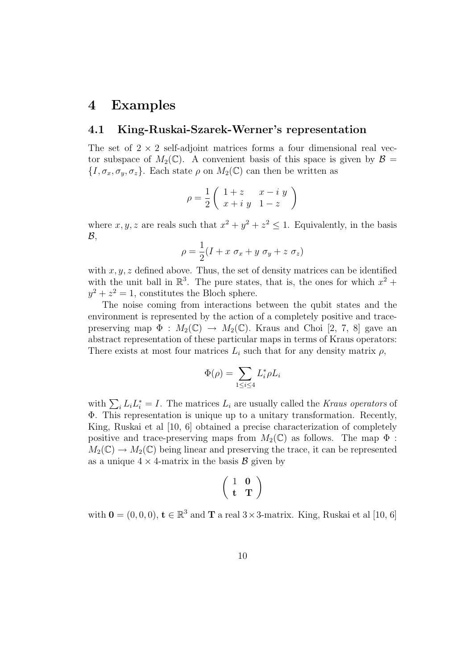### 4 Examples

### 4.1 King-Ruskai-Szarek-Werner's representation

The set of  $2 \times 2$  self-adjoint matrices forms a four dimensional real vector subspace of  $M_2(\mathbb{C})$ . A convenient basis of this space is given by  $\mathcal{B} =$  $\{I, \sigma_x, \sigma_y, \sigma_z\}$ . Each state  $\rho$  on  $M_2(\mathbb{C})$  can then be written as

$$
\rho = \frac{1}{2} \left( \begin{array}{cc} 1+z & x- i\ y \\ x+ i\ y & 1-z \end{array} \right)
$$

where  $x, y, z$  are reals such that  $x^2 + y^2 + z^2 \leq 1$ . Equivalently, in the basis  $\mathcal{B},$ 

$$
\rho = \frac{1}{2}(I + x \ \sigma_x + y \ \sigma_y + z \ \sigma_z)
$$

with  $x, y, z$  defined above. Thus, the set of density matrices can be identified with the unit ball in  $\mathbb{R}^3$ . The pure states, that is, the ones for which  $x^2 +$  $y^2 + z^2 = 1$ , constitutes the Bloch sphere.

The noise coming from interactions between the qubit states and the environment is represented by the action of a completely positive and tracepreserving map  $\Phi : M_2(\mathbb{C}) \to M_2(\mathbb{C})$ . Kraus and Choi [2, 7, 8] gave an abstract representation of these particular maps in terms of Kraus operators: There exists at most four matrices  $L_i$  such that for any density matrix  $\rho$ ,

$$
\Phi(\rho) = \sum_{1 \le i \le 4} L_i^* \rho L_i
$$

with  $\sum_i L_i L_i^* = I$ . The matrices  $L_i$  are usually called the Kraus operators of Φ. This representation is unique up to a unitary transformation. Recently, King, Ruskai et al [10, 6] obtained a precise characterization of completely positive and trace-preserving maps from  $M_2(\mathbb{C})$  as follows. The map  $\Phi$ :  $M_2(\mathbb{C}) \to M_2(\mathbb{C})$  being linear and preserving the trace, it can be represented as a unique  $4 \times 4$ -matrix in the basis  $\mathcal{B}$  given by

$$
\left(\begin{array}{cc} 1 & 0 \\ t & T \end{array}\right)
$$

with  $\mathbf{0} = (0, 0, 0)$ ,  $\mathbf{t} \in \mathbb{R}^3$  and  $\mathbf{T}$  a real  $3 \times 3$ -matrix. King, Ruskai et al [10, 6]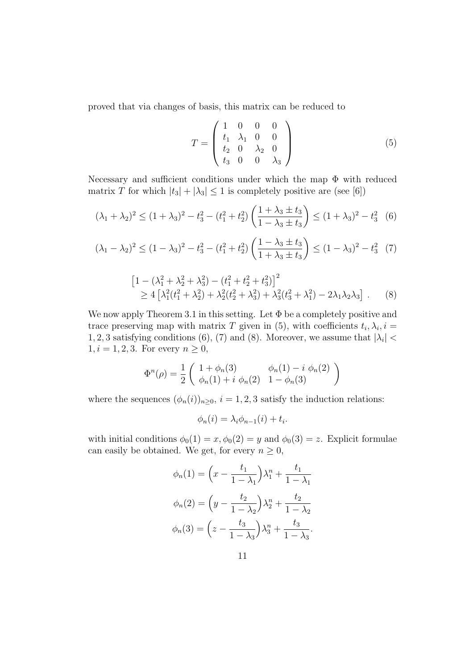proved that via changes of basis, this matrix can be reduced to

$$
T = \begin{pmatrix} 1 & 0 & 0 & 0 \\ t_1 & \lambda_1 & 0 & 0 \\ t_2 & 0 & \lambda_2 & 0 \\ t_3 & 0 & 0 & \lambda_3 \end{pmatrix}
$$
 (5)

Necessary and sufficient conditions under which the map  $\Phi$  with reduced matrix T for which  $|t_3| + |\lambda_3| \leq 1$  is completely positive are (see [6])

$$
(\lambda_1 + \lambda_2)^2 \le (1 + \lambda_3)^2 - t_3^2 - (t_1^2 + t_2^2) \left( \frac{1 + \lambda_3 \pm t_3}{1 - \lambda_3 \pm t_3} \right) \le (1 + \lambda_3)^2 - t_3^2
$$
 (6)

$$
(\lambda_1 - \lambda_2)^2 \le (1 - \lambda_3)^2 - t_3^2 - (t_1^2 + t_2^2) \left( \frac{1 - \lambda_3 \pm t_3}{1 + \lambda_3 \pm t_3} \right) \le (1 - \lambda_3)^2 - t_3^2
$$
 (7)

$$
\begin{aligned} \left[1 - \left(\lambda_1^2 + \lambda_2^2 + \lambda_3^2\right) - \left(t_1^2 + t_2^2 + t_3^2\right)\right]^2 \\ &\ge 4\left[\lambda_1^2(t_1^2 + \lambda_2^2) + \lambda_2^2(t_2^2 + \lambda_3^2) + \lambda_3^2(t_3^2 + \lambda_1^2) - 2\lambda_1\lambda_2\lambda_3\right] \,. \end{aligned} \tag{8}
$$

We now apply Theorem 3.1 in this setting. Let  $\Phi$  be a completely positive and trace preserving map with matrix T given in (5), with coefficients  $t_i, \lambda_i, i =$ 1, 2, 3 satisfying conditions (6), (7) and (8). Moreover, we assume that  $|\lambda_i|$  < 1,  $i = 1, 2, 3$ . For every  $n \geq 0$ ,

$$
\Phi^{n}(\rho) = \frac{1}{2} \begin{pmatrix} 1 + \phi_{n}(3) & \phi_{n}(1) - i \phi_{n}(2) \\ \phi_{n}(1) + i \phi_{n}(2) & 1 - \phi_{n}(3) \end{pmatrix}
$$

where the sequences  $(\phi_n(i))_{n\geq 0}$ ,  $i = 1, 2, 3$  satisfy the induction relations:

$$
\phi_n(i) = \lambda_i \phi_{n-1}(i) + t_i.
$$

with initial conditions  $\phi_0(1) = x, \phi_0(2) = y$  and  $\phi_0(3) = z$ . Explicit formulae can easily be obtained. We get, for every  $n \geq 0$ ,

$$
\phi_n(1) = \left(x - \frac{t_1}{1 - \lambda_1}\right)\lambda_1^n + \frac{t_1}{1 - \lambda_1}
$$

$$
\phi_n(2) = \left(y - \frac{t_2}{1 - \lambda_2}\right)\lambda_2^n + \frac{t_2}{1 - \lambda_2}
$$

$$
\phi_n(3) = \left(z - \frac{t_3}{1 - \lambda_3}\right)\lambda_3^n + \frac{t_3}{1 - \lambda_3}.
$$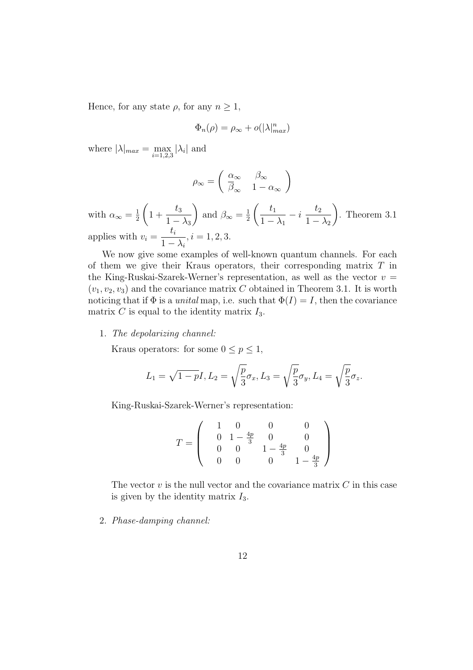Hence, for any state  $\rho$ , for any  $n \geq 1$ ,

$$
\Phi_n(\rho) = \rho_\infty + o(|\lambda|_{max}^n)
$$

where  $|\lambda|_{max} = \max_{i=1,2,3} |\lambda_i|$  and

$$
\rho_\infty = \left( \begin{array}{cc} \alpha_\infty & \beta_\infty \\ \overline{\beta}_\infty & 1-\alpha_\infty \end{array} \right)
$$

with  $\alpha_{\infty} = \frac{1}{2}$ 2  $\sqrt{ }$  $1 + \frac{t_3}{1}$  $1 - \lambda_3$  $\setminus$ and  $\beta_{\infty} = \frac{1}{2}$ 2  $\begin{pmatrix} t_1 \end{pmatrix}$  $1 - \lambda_1$  $-i$  $t_2$  $1 - \lambda_2$  $\setminus$ . Theorem 3.1 applies with  $v_i =$  $t_i$  $1 - \lambda_i$  $, i = 1, 2, 3.$ 

We now give some examples of well-known quantum channels. For each of them we give their Kraus operators, their corresponding matrix  $T$  in the King-Ruskai-Szarek-Werner's representation, as well as the vector  $v =$  $(v_1, v_2, v_3)$  and the covariance matrix C obtained in Theorem 3.1. It is worth noticing that if  $\Phi$  is a *unital* map, i.e. such that  $\Phi(I) = I$ , then the covariance matrix C is equal to the identity matrix  $I_3$ .

#### 1. The depolarizing channel:

Kraus operators: for some  $0 \le p \le 1$ ,

$$
L_1 = \sqrt{1 - pI}, L_2 = \sqrt{\frac{p}{3}}\sigma_x, L_3 = \sqrt{\frac{p}{3}}\sigma_y, L_4 = \sqrt{\frac{p}{3}}\sigma_z.
$$

King-Ruskai-Szarek-Werner's representation:

$$
T = \left(\begin{array}{cccc} 1 & 0 & 0 & 0 \\ 0 & 1 - \frac{4p}{3} & 0 & 0 \\ 0 & 0 & 1 - \frac{4p}{3} & 0 \\ 0 & 0 & 0 & 1 - \frac{4p}{3} \end{array}\right)
$$

The vector  $v$  is the null vector and the covariance matrix  $C$  in this case is given by the identity matrix  $I_3$ .

### 2. Phase-damping channel: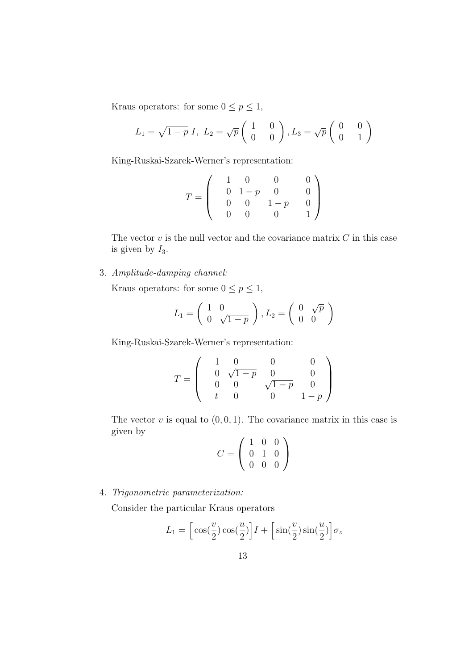Kraus operators: for some  $0\leq p\leq 1,$ 

$$
L_1 = \sqrt{1 - p} \, I, \ L_2 = \sqrt{p} \begin{pmatrix} 1 & 0 \\ 0 & 0 \end{pmatrix}, L_3 = \sqrt{p} \begin{pmatrix} 0 & 0 \\ 0 & 1 \end{pmatrix}
$$

King-Ruskai-Szarek-Werner's representation:

$$
T = \left(\begin{array}{cccc} 1 & 0 & 0 & 0 \\ 0 & 1-p & 0 & 0 \\ 0 & 0 & 1-p & 0 \\ 0 & 0 & 0 & 1 \end{array}\right)
$$

The vector  $v$  is the null vector and the covariance matrix  $C$  in this case is given by  $I_3$ .

3. Amplitude-damping channel:

Kraus operators: for some  $0\leq p\leq 1,$ 

$$
L_1 = \left(\begin{array}{cc} 1 & 0 \\ 0 & \sqrt{1-p} \end{array}\right), L_2 = \left(\begin{array}{cc} 0 & \sqrt{p} \\ 0 & 0 \end{array}\right)
$$

King-Ruskai-Szarek-Werner's representation:

$$
T = \left(\begin{array}{cccc} 1 & 0 & 0 & 0 \\ 0 & \sqrt{1-p} & 0 & 0 \\ 0 & 0 & \sqrt{1-p} & 0 \\ t & 0 & 0 & 1-p \end{array}\right)
$$

The vector  $v$  is equal to  $(0, 0, 1)$ . The covariance matrix in this case is given by

$$
C = \left(\begin{array}{rrr} 1 & 0 & 0 \\ 0 & 1 & 0 \\ 0 & 0 & 0 \end{array}\right)
$$

4. Trigonometric parameterization:

Consider the particular Kraus operators

$$
L_1 = \left[\cos(\frac{v}{2})\cos(\frac{u}{2})\right]I + \left[\sin(\frac{v}{2})\sin(\frac{u}{2})\right]\sigma_z
$$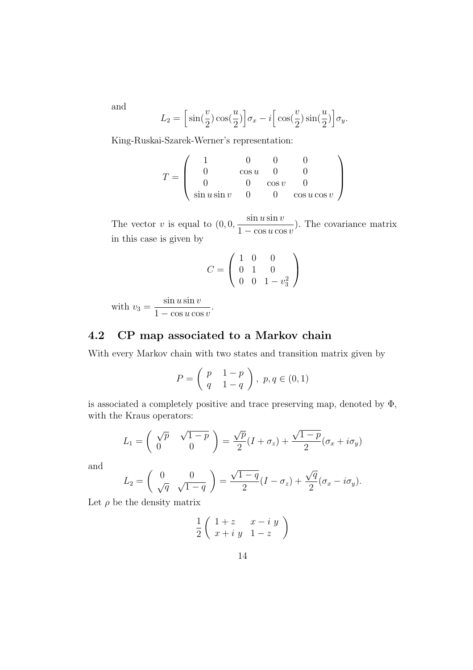and

$$
L_2 = \left[\sin(\frac{v}{2})\cos(\frac{u}{2})\right]\sigma_x - i\left[\cos(\frac{v}{2})\sin(\frac{u}{2})\right]\sigma_y.
$$

King-Ruskai-Szarek-Werner's representation:

$$
T = \left(\begin{array}{cccc} 1 & 0 & 0 & 0 \\ 0 & \cos u & 0 & 0 \\ 0 & 0 & \cos v & 0 \\ \sin u \sin v & 0 & 0 & \cos u \cos v \end{array}\right)
$$

The vector  $v$  is equal to  $(0, 0, 0)$  $\sin u \sin v$  $1 - \cos u \cos v$ ). The covariance matrix in this case is given by

$$
C = \left(\begin{array}{rrr} 1 & 0 & 0 \\ 0 & 1 & 0 \\ 0 & 0 & 1 - v_3^2 \end{array}\right)
$$

with  $v_3 =$  $\sin u \sin v$  $1 - \cos u \cos v$ 

# 4.2 CP map associated to a Markov chain

.

With every Markov chain with two states and transition matrix given by

$$
P = \left(\begin{array}{cc} p & 1-p \\ q & 1-q \end{array}\right), \ p, q \in (0,1)
$$

is associated a completely positive and trace preserving map, denoted by  $\Phi$ , with the Kraus operators:

$$
L_1 = \begin{pmatrix} \sqrt{p} & \sqrt{1-p} \\ 0 & 0 \end{pmatrix} = \frac{\sqrt{p}}{2}(I + \sigma_z) + \frac{\sqrt{1-p}}{2}(\sigma_x + i\sigma_y)
$$

and

$$
L_2 = \begin{pmatrix} 0 & 0 \\ \sqrt{q} & \sqrt{1-q} \end{pmatrix} = \frac{\sqrt{1-q}}{2}(I - \sigma_z) + \frac{\sqrt{q}}{2}(\sigma_x - i\sigma_y).
$$

Let  $\rho$  be the density matrix

$$
\frac{1}{2}\left(\begin{array}{cc}1+z&x-iy\\x+iy&1-z\end{array}\right)
$$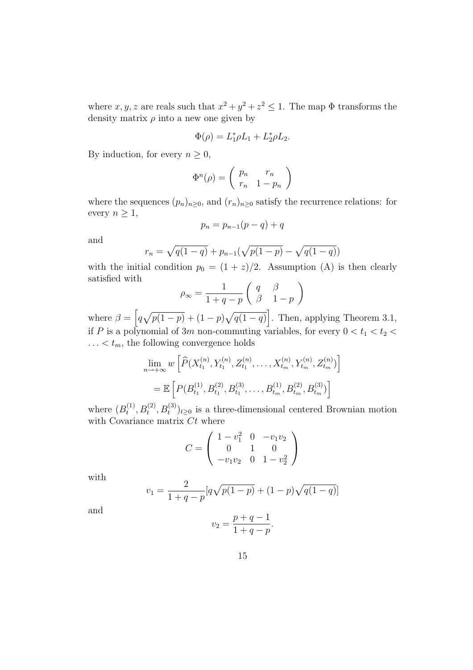where  $x, y, z$  are reals such that  $x^2 + y^2 + z^2 \leq 1$ . The map  $\Phi$  transforms the density matrix  $\rho$  into a new one given by

$$
\Phi(\rho) = L_1^* \rho L_1 + L_2^* \rho L_2.
$$

By induction, for every  $n \geq 0$ ,

$$
\Phi^n(\rho) = \left(\begin{array}{cc} p_n & r_n \\ r_n & 1 - p_n \end{array}\right)
$$

where the sequences  $(p_n)_{n\geq 0}$ , and  $(r_n)_{n\geq 0}$  satisfy the recurrence relations: for every  $n \geq 1$ ,

$$
p_n = p_{n-1}(p-q) + q
$$

and

$$
r_n = \sqrt{q(1-q)} + p_{n-1}(\sqrt{p(1-p)} - \sqrt{q(1-q)})
$$

with the initial condition  $p_0 = (1 + z)/2$ . Assumption (A) is then clearly satisfied with

$$
\rho_{\infty} = \frac{1}{1+q-p} \left( \begin{array}{cc} q & \beta \\ \beta & 1-p \end{array} \right)
$$

where  $\beta = \left[ q \sqrt{p(1-p)} + (1-p) \sqrt{q(1-q)} \right]$ . Then, applying Theorem 3.1, if P is a polynomial of 3m non-commuting variables, for every  $0 < t_1 < t_2 <$  $\ldots < t_m$ , the following convergence holds

$$
\lim_{n \to +\infty} w \left[ \widehat{P}(X_{t_1}^{(n)}, Y_{t_1}^{(n)}, Z_{t_1}^{(n)}, \dots, X_{t_m}^{(n)}, Y_{t_m}^{(n)}, Z_{t_m}^{(n)}) \right]
$$
  
=  $\mathbb{E} \left[ P(B_{t_1}^{(1)}, B_{t_1}^{(2)}, B_{t_1}^{(3)}, \dots, B_{t_m}^{(1)}, B_{t_m}^{(2)}, B_{t_m}^{(3)}) \right]$ 

where  $(B_t^{(1)}$  $(t_1^{(1)}, B_t^{(2)}, B_t^{(3)})_{t\geq 0}$  is a three-dimensional centered Brownian motion with Covariance matrix  $Ct$  where

$$
C = \begin{pmatrix} 1 - v_1^2 & 0 & -v_1 v_2 \\ 0 & 1 & 0 \\ -v_1 v_2 & 0 & 1 - v_2^2 \end{pmatrix}
$$

with

$$
v_1 = \frac{2}{1+q-p} [q\sqrt{p(1-p)} + (1-p)\sqrt{q(1-q)}]
$$

and

$$
v_2 = \frac{p+q-1}{1+q-p}.
$$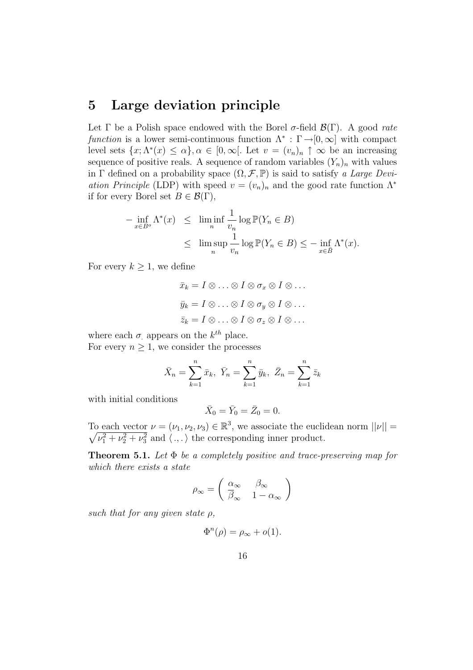## 5 Large deviation principle

Let  $\Gamma$  be a Polish space endowed with the Borel  $\sigma$ -field  $\mathcal{B}(\Gamma)$ . A good rate function is a lower semi-continuous function  $\Lambda^* : \Gamma \to [0, \infty]$  with compact level sets  $\{x; \Lambda^*(x) \leq \alpha\}, \alpha \in [0, \infty)$ . Let  $v = (v_n)_n \uparrow \infty$  be an increasing sequence of positive reals. A sequence of random variables  $(Y_n)_n$  with values in Γ defined on a probability space  $(\Omega, \mathcal{F}, \mathbb{P})$  is said to satisfy a Large Deviation Principle (LDP) with speed  $v = (v_n)_n$  and the good rate function  $\Lambda^*$ if for every Borel set  $B \in \mathcal{B}(\Gamma)$ ,

$$
- \inf_{x \in B^o} \Lambda^*(x) \leq \liminf_{n} \frac{1}{v_n} \log \mathbb{P}(Y_n \in B)
$$
  

$$
\leq \limsup_{n} \frac{1}{v_n} \log \mathbb{P}(Y_n \in B) \leq - \inf_{x \in \overline{B}} \Lambda^*(x).
$$

For every  $k \geq 1$ , we define

$$
\bar{x}_k = I \otimes \ldots \otimes I \otimes \sigma_x \otimes I \otimes \ldots
$$

$$
\bar{y}_k = I \otimes \ldots \otimes I \otimes \sigma_y \otimes I \otimes \ldots
$$

$$
\bar{z}_k = I \otimes \ldots \otimes I \otimes \sigma_z \otimes I \otimes \ldots
$$

where each  $\sigma$  appears on the  $k^{th}$  place.

For every  $n \geq 1$ , we consider the processes

$$
\bar{X}_n = \sum_{k=1}^n \bar{x}_k, \ \bar{Y}_n = \sum_{k=1}^n \bar{y}_k, \ \bar{Z}_n = \sum_{k=1}^n \bar{z}_k
$$

with initial conditions

$$
\bar{X}_0 = \bar{Y}_0 = \bar{Z}_0 = 0.
$$

To each vector  $\nu = (\nu_1, \nu_2, \nu_3) \in \mathbb{R}^3$ , we associate the euclidean norm  $||\nu|| =$  $\sqrt{\nu_1^2 + \nu_2^2 + \nu_3^2}$  and  $\langle ., . \rangle$  the corresponding inner product.

**Theorem 5.1.** Let  $\Phi$  be a completely positive and trace-preserving map for which there exists a state

$$
\rho_{\infty} = \left( \begin{array}{cc} \alpha_{\infty} & \beta_{\infty} \\ \overline{\beta}_{\infty} & 1 - \alpha_{\infty} \end{array} \right)
$$

such that for any given state  $\rho$ ,

$$
\Phi^n(\rho) = \rho_\infty + o(1).
$$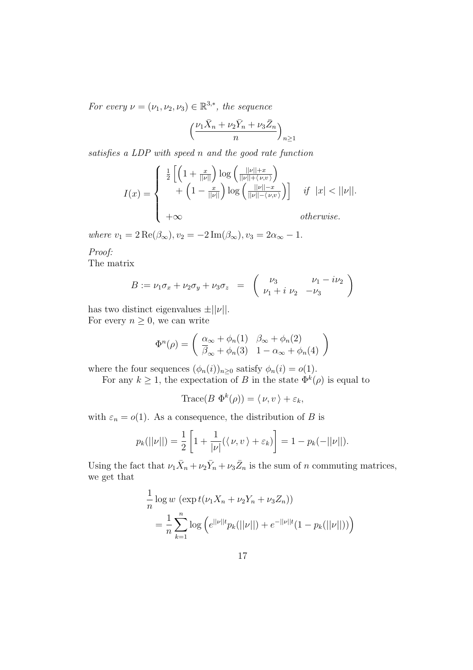For every  $\nu = (\nu_1, \nu_2, \nu_3) \in \mathbb{R}^{3,*}$ , the sequence

$$
\left(\frac{\nu_1\bar{X}_n+\nu_2\bar{Y}_n+\nu_3\bar{Z}_n}{n}\right)_{n\geq 1}
$$

satisfies a LDP with speed n and the good rate function

$$
I(x) = \begin{cases} \frac{1}{2} \left[ \left( 1 + \frac{x}{||\nu||} \right) \log \left( \frac{||\nu|| + x}{||\nu|| + \langle \nu, v \rangle} \right) + \left( 1 - \frac{x}{||\nu||} \right) \log \left( \frac{||\nu|| - x}{||\nu|| - \langle \nu, v \rangle} \right) \right] & \text{if } |x| < ||\nu||. \\ +\infty & \text{otherwise.} \end{cases}
$$

where  $v_1 = 2 \operatorname{Re}(\beta_\infty), v_2 = -2 \operatorname{Im}(\beta_\infty), v_3 = 2\alpha_\infty - 1.$ 

Proof:

The matrix

$$
B := \nu_1 \sigma_x + \nu_2 \sigma_y + \nu_3 \sigma_z = \begin{pmatrix} \nu_3 & \nu_1 - i \nu_2 \\ \nu_1 + i \nu_2 & -\nu_3 \end{pmatrix}
$$

has two distinct eigenvalues  $\pm ||\nu||$ . For every  $n \geq 0$ , we can write

$$
\Phi^{n}(\rho) = \begin{pmatrix} \frac{\alpha_{\infty} + \phi_{n}(1)}{\beta_{\infty} + \phi_{n}(3)} & \beta_{\infty} + \phi_{n}(2) \\ \frac{\alpha_{\infty} + \phi_{n}(3)}{3} & 1 - \alpha_{\infty} + \phi_{n}(4) \end{pmatrix}
$$

where the four sequences  $(\phi_n(i))_{n\geq 0}$  satisfy  $\phi_n(i) = o(1)$ .

For any  $k \geq 1$ , the expectation of B in the state  $\Phi^k(\rho)$  is equal to

$$
\text{Trace}(B \ \Phi^k(\rho)) = \langle \nu, v \rangle + \varepsilon_k,
$$

with  $\varepsilon_n = o(1)$ . As a consequence, the distribution of B is

$$
p_k(||\nu||) = \frac{1}{2} \left[ 1 + \frac{1}{|\nu|} (\langle \nu, v \rangle + \varepsilon_k) \right] = 1 - p_k(-||\nu||).
$$

Using the fact that  $\nu_1 \bar{X}_n + \nu_2 \bar{Y}_n + \nu_3 \bar{Z}_n$  is the sum of n commuting matrices, we get that

$$
\frac{1}{n}\log w \left(\exp t(\nu_1 X_n + \nu_2 Y_n + \nu_3 Z_n)\right)
$$
\n
$$
= \frac{1}{n}\sum_{k=1}^n \log \left(e^{||\nu||t}p_k(||\nu||) + e^{-||\nu||t}(1 - p_k(||\nu||))\right)
$$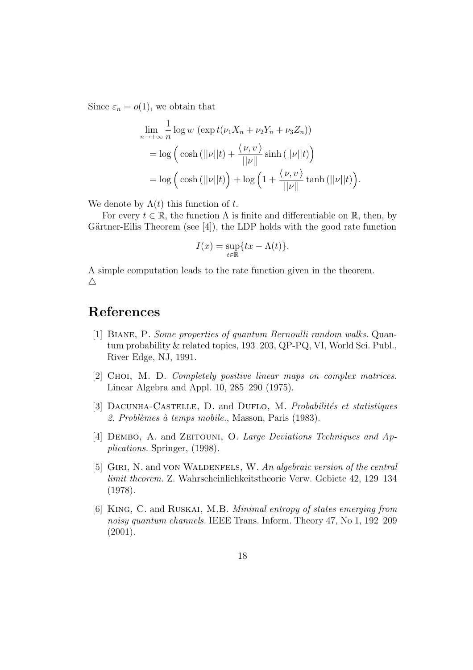Since  $\varepsilon_n = o(1)$ , we obtain that

$$
\lim_{n \to +\infty} \frac{1}{n} \log w \left( \exp t(\nu_1 X_n + \nu_2 Y_n + \nu_3 Z_n) \right)
$$
  
=  $\log \left( \cosh (||\nu||t) + \frac{\langle \nu, v \rangle}{||\nu||} \sinh (||\nu||t) \right)$   
=  $\log \left( \cosh (||\nu||t) \right) + \log \left( 1 + \frac{\langle \nu, v \rangle}{||\nu||} \tanh (||\nu||t) \right).$ 

We denote by  $\Lambda(t)$  this function of t.

For every  $t \in \mathbb{R}$ , the function  $\Lambda$  is finite and differentiable on  $\mathbb{R}$ , then, by Gärtner-Ellis Theorem (see  $[4]$ ), the LDP holds with the good rate function

$$
I(x) = \sup_{t \in \mathbb{R}} \{ tx - \Lambda(t) \}.
$$

A simple computation leads to the rate function given in the theorem.  $\triangle$ 

# References

- [1] Biane, P. Some properties of quantum Bernoulli random walks. Quantum probability & related topics, 193–203, QP-PQ, VI, World Sci. Publ., River Edge, NJ, 1991.
- [2] CHOI, M. D. Completely positive linear maps on complex matrices. Linear Algebra and Appl. 10, 285–290 (1975).
- [3] DACUNHA-CASTELLE, D. and DUFLO, M. Probabilités et statistiques 2. Problèmes à temps mobile., Masson, Paris (1983).
- [4] DEMBO, A. and ZEITOUNI, O. Large Deviations Techniques and Applications. Springer, (1998).
- [5] GIRI, N. and VON WALDENFELS, W. An algebraic version of the central limit theorem. Z. Wahrscheinlichkeitstheorie Verw. Gebiete 42, 129–134 (1978).
- [6] King, C. and Ruskai, M.B. Minimal entropy of states emerging from noisy quantum channels. IEEE Trans. Inform. Theory 47, No 1, 192–209 (2001).